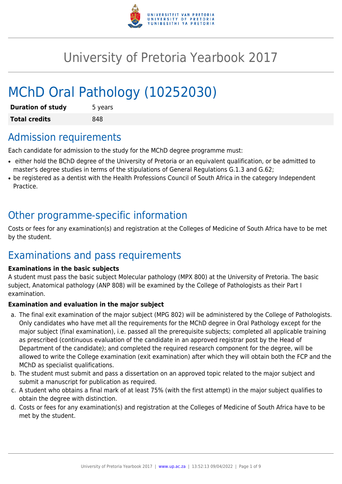

# University of Pretoria Yearbook 2017

# MChD Oral Pathology (10252030)

| <b>Duration of study</b> | 5 years |
|--------------------------|---------|
| <b>Total credits</b>     | 848     |

# Admission requirements

Each candidate for admission to the study for the MChD degree programme must:

- either hold the BChD degree of the University of Pretoria or an equivalent qualification, or be admitted to master's degree studies in terms of the stipulations of General Regulations G.1.3 and G.62;
- be registered as a dentist with the Health Professions Council of South Africa in the category Independent Practice.

# Other programme-specific information

Costs or fees for any examination(s) and registration at the Colleges of Medicine of South Africa have to be met by the student.

# Examinations and pass requirements

#### **Examinations in the basic subjects**

A student must pass the basic subject Molecular pathology (MPX 800) at the University of Pretoria. The basic subject, Anatomical pathology (ANP 808) will be examined by the College of Pathologists as their Part I examination.

#### **Examination and evaluation in the major subject**

- a. The final exit examination of the major subject (MPG 802) will be administered by the College of Pathologists. Only candidates who have met all the requirements for the MChD degree in Oral Pathology except for the major subject (final examination), i.e. passed all the prerequisite subjects; completed all applicable training as prescribed (continuous evaluation of the candidate in an approved registrar post by the Head of Department of the candidate); and completed the required research component for the degree, will be allowed to write the College examination (exit examination) after which they will obtain both the FCP and the MChD as specialist qualifications.
- b. The student must submit and pass a dissertation on an approved topic related to the major subject and submit a manuscript for publication as required.
- c. A student who obtains a final mark of at least 75% (with the first attempt) in the major subject qualifies to obtain the degree with distinction.
- d. Costs or fees for any examination(s) and registration at the Colleges of Medicine of South Africa have to be met by the student.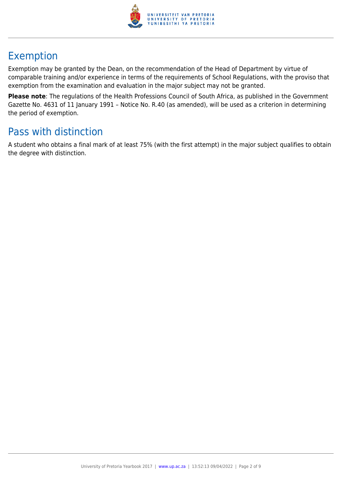

# Exemption

Exemption may be granted by the Dean, on the recommendation of the Head of Department by virtue of comparable training and/or experience in terms of the requirements of School Regulations, with the proviso that exemption from the examination and evaluation in the major subject may not be granted.

**Please note**: The regulations of the Health Professions Council of South Africa, as published in the Government Gazette No. 4631 of 11 January 1991 – Notice No. R.40 (as amended), will be used as a criterion in determining the period of exemption.

# Pass with distinction

A student who obtains a final mark of at least 75% (with the first attempt) in the major subject qualifies to obtain the degree with distinction.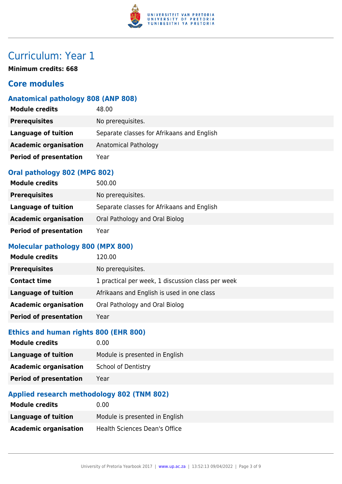

**Minimum credits: 668**

# **Core modules**

# **Anatomical pathology 808 (ANP 808)**

| <b>Module credits</b>         | 48.00                                      |
|-------------------------------|--------------------------------------------|
| <b>Prerequisites</b>          | No prerequisites.                          |
| Language of tuition           | Separate classes for Afrikaans and English |
| <b>Academic organisation</b>  | Anatomical Pathology                       |
| <b>Period of presentation</b> | Year                                       |

#### **Oral pathology 802 (MPG 802)**

| <b>Module credits</b>         | 500.00                                     |
|-------------------------------|--------------------------------------------|
| <b>Prerequisites</b>          | No prerequisites.                          |
| Language of tuition           | Separate classes for Afrikaans and English |
| <b>Academic organisation</b>  | Oral Pathology and Oral Biolog             |
| <b>Period of presentation</b> | Year                                       |

#### **Molecular pathology 800 (MPX 800)**

| <b>Module credits</b>         | 120.00                                            |
|-------------------------------|---------------------------------------------------|
| <b>Prerequisites</b>          | No prerequisites.                                 |
| <b>Contact time</b>           | 1 practical per week, 1 discussion class per week |
| Language of tuition           | Afrikaans and English is used in one class        |
| <b>Academic organisation</b>  | Oral Pathology and Oral Biolog                    |
| <b>Period of presentation</b> | Year                                              |

# **Ethics and human rights 800 (EHR 800)**

| <b>Module credits</b>         | 0.00                           |
|-------------------------------|--------------------------------|
| Language of tuition           | Module is presented in English |
| <b>Academic organisation</b>  | <b>School of Dentistry</b>     |
| <b>Period of presentation</b> | Year                           |
|                               |                                |

## **Applied research methodology 802 (TNM 802)**

| <b>Module credits</b>        | 0.00                           |
|------------------------------|--------------------------------|
| Language of tuition          | Module is presented in English |
| <b>Academic organisation</b> | Health Sciences Dean's Office  |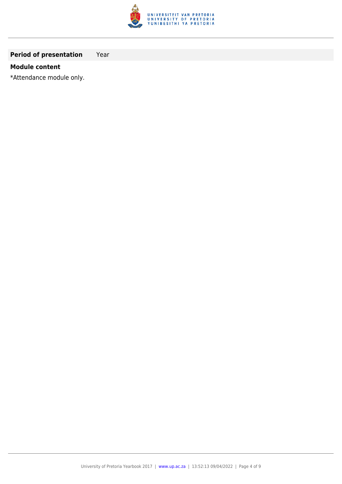

## **Period of presentation** Year

#### **Module content**

\*Attendance module only.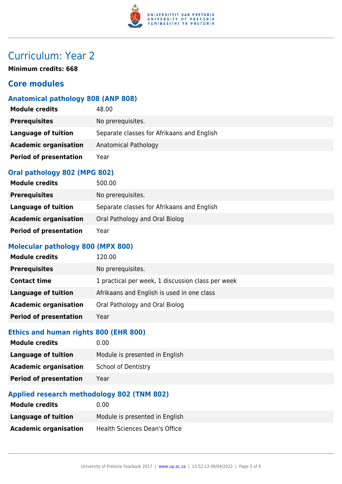

**Minimum credits: 668**

# **Core modules**

# **Anatomical pathology 808 (ANP 808)**

| <b>Module credits</b>         | 48.00                                      |
|-------------------------------|--------------------------------------------|
| <b>Prerequisites</b>          | No prerequisites.                          |
| Language of tuition           | Separate classes for Afrikaans and English |
| <b>Academic organisation</b>  | Anatomical Pathology                       |
| <b>Period of presentation</b> | Year                                       |

#### **Oral pathology 802 (MPG 802)**

| <b>Module credits</b>         | 500.00                                     |
|-------------------------------|--------------------------------------------|
| <b>Prerequisites</b>          | No prerequisites.                          |
| Language of tuition           | Separate classes for Afrikaans and English |
| <b>Academic organisation</b>  | Oral Pathology and Oral Biolog             |
| <b>Period of presentation</b> | Year                                       |

#### **Molecular pathology 800 (MPX 800)**

| <b>Module credits</b>         | 120.00                                            |
|-------------------------------|---------------------------------------------------|
| <b>Prerequisites</b>          | No prerequisites.                                 |
| <b>Contact time</b>           | 1 practical per week, 1 discussion class per week |
| Language of tuition           | Afrikaans and English is used in one class        |
| <b>Academic organisation</b>  | Oral Pathology and Oral Biolog                    |
| <b>Period of presentation</b> | Year                                              |

# **Ethics and human rights 800 (EHR 800)**

| <b>Module credits</b>         | 0.00                           |
|-------------------------------|--------------------------------|
| Language of tuition           | Module is presented in English |
| <b>Academic organisation</b>  | <b>School of Dentistry</b>     |
| <b>Period of presentation</b> | Year                           |
|                               |                                |

## **Applied research methodology 802 (TNM 802)**

| <b>Module credits</b>        | 0.00                           |
|------------------------------|--------------------------------|
| Language of tuition          | Module is presented in English |
| <b>Academic organisation</b> | Health Sciences Dean's Office  |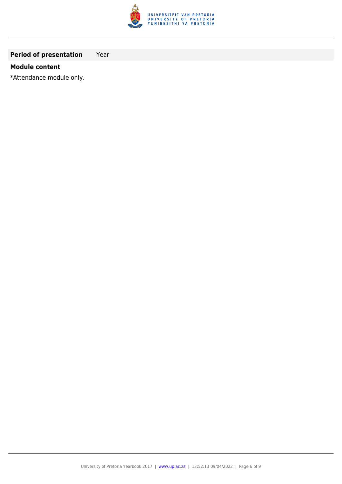

## **Period of presentation** Year

#### **Module content**

\*Attendance module only.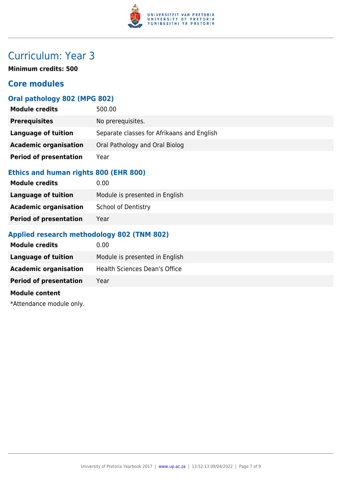

**Minimum credits: 500**

# **Core modules**

### **Oral pathology 802 (MPG 802)**

| <b>Module credits</b>         | 500.00                                     |
|-------------------------------|--------------------------------------------|
| <b>Prerequisites</b>          | No prerequisites.                          |
| Language of tuition           | Separate classes for Afrikaans and English |
| <b>Academic organisation</b>  | Oral Pathology and Oral Biolog             |
| <b>Period of presentation</b> | Year                                       |

### **Ethics and human rights 800 (EHR 800)**

| <b>Module credits</b>         | 0.00                           |
|-------------------------------|--------------------------------|
| Language of tuition           | Module is presented in English |
| <b>Academic organisation</b>  | <b>School of Dentistry</b>     |
| <b>Period of presentation</b> | Year                           |

## **Applied research methodology 802 (TNM 802)**

| <b>Module credits</b>         | 0.00                           |
|-------------------------------|--------------------------------|
| Language of tuition           | Module is presented in English |
| <b>Academic organisation</b>  | Health Sciences Dean's Office  |
| <b>Period of presentation</b> | Year                           |
| <b>Module content</b>         |                                |

\*Attendance module only.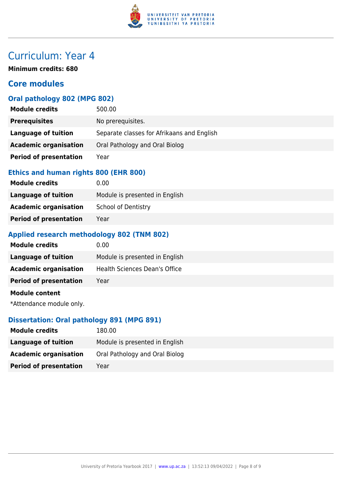

**Minimum credits: 680**

# **Core modules**

#### **Oral pathology 802 (MPG 802)**

| <b>Module credits</b>         | 500.00                                     |
|-------------------------------|--------------------------------------------|
| <b>Prerequisites</b>          | No prerequisites.                          |
| Language of tuition           | Separate classes for Afrikaans and English |
| <b>Academic organisation</b>  | Oral Pathology and Oral Biolog             |
| <b>Period of presentation</b> | Year                                       |

### **Ethics and human rights 800 (EHR 800)**

| <b>Module credits</b>         | 0.00                           |
|-------------------------------|--------------------------------|
| Language of tuition           | Module is presented in English |
| <b>Academic organisation</b>  | <b>School of Dentistry</b>     |
| <b>Period of presentation</b> | Year                           |

#### **Applied research methodology 802 (TNM 802)**

| Module credits                | 0.00                           |
|-------------------------------|--------------------------------|
| <b>Language of tuition</b>    | Module is presented in English |
| <b>Academic organisation</b>  | Health Sciences Dean's Office  |
| <b>Period of presentation</b> | Year                           |
| <b>Module content</b>         |                                |

\*Attendance module only.

#### **Dissertation: Oral pathology 891 (MPG 891)**

| <b>Module credits</b>         | 180.00                         |
|-------------------------------|--------------------------------|
| Language of tuition           | Module is presented in English |
| <b>Academic organisation</b>  | Oral Pathology and Oral Biolog |
| <b>Period of presentation</b> | Year                           |